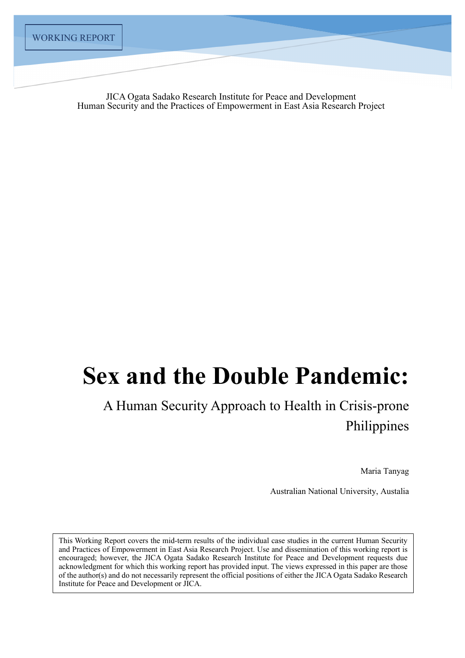JICA Ogata Sadako Research Institute for Peace and Development Human Security and the Practices of Empowerment in East Asia Research Project

# **Sex and the Double Pandemic:**

# A Human Security Approach to Health in Crisis-prone Philippines

Maria Tanyag

Australian National University, Austalia

This Working Report covers the mid-term results of the individual case studies in the current Human Security and Practices of Empowerment in East Asia Research Project. Use and dissemination of this working report is encouraged; however, the JICA Ogata Sadako Research Institute for Peace and Development requests due acknowledgment for which this working report has provided input. The views expressed in this paper are those of the author(s) and do not necessarily represent the official positions of either the JICA Ogata Sadako Research Institute for Peace and Development or JICA.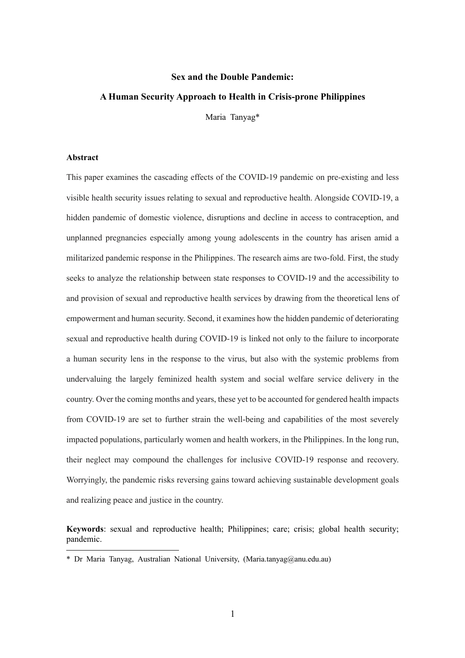# **Sex and the Double Pandemic:**

# **A Human Security Approach to Health in Crisis-prone Philippines**

Maria Tanyag\*

# **Abstract**

This paper examines the cascading effects of the COVID-19 pandemic on pre-existing and less visible health security issues relating to sexual and reproductive health. Alongside COVID-19, a hidden pandemic of domestic violence, disruptions and decline in access to contraception, and unplanned pregnancies especially among young adolescents in the country has arisen amid a militarized pandemic response in the Philippines. The research aims are two-fold. First, the study seeks to analyze the relationship between state responses to COVID-19 and the accessibility to and provision of sexual and reproductive health services by drawing from the theoretical lens of empowerment and human security. Second, it examines how the hidden pandemic of deteriorating sexual and reproductive health during COVID-19 is linked not only to the failure to incorporate a human security lens in the response to the virus, but also with the systemic problems from undervaluing the largely feminized health system and social welfare service delivery in the country. Over the coming months and years, these yet to be accounted for gendered health impacts from COVID-19 are set to further strain the well-being and capabilities of the most severely impacted populations, particularly women and health workers, in the Philippines. In the long run, their neglect may compound the challenges for inclusive COVID-19 response and recovery. Worryingly, the pandemic risks reversing gains toward achieving sustainable development goals and realizing peace and justice in the country.

**Keywords**: sexual and reproductive health; Philippines; care; crisis; global health security; pandemic.

<sup>\*</sup> Dr Maria Tanyag, Australian National University, (Maria.tanyag@anu.edu.au)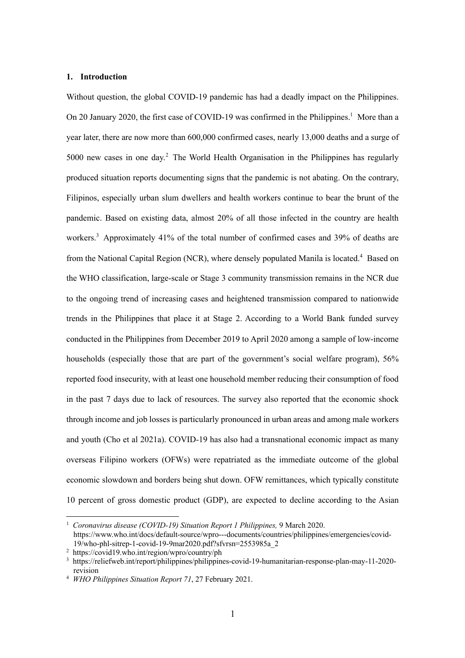## **1. Introduction**

Without question, the global COVID-19 pandemic has had a deadly impact on the Philippines. On 20 January 2020, the first case of COVID-19 was confirmed in the Philippines.<sup>1</sup> More than a year later, there are now more than 600,000 confirmed cases, nearly 13,000 deaths and a surge of 5000 new cases in one day.<sup>2</sup> The World Health Organisation in the Philippines has regularly produced situation reports documenting signs that the pandemic is not abating. On the contrary, Filipinos, especially urban slum dwellers and health workers continue to bear the brunt of the pandemic. Based on existing data, almost 20% of all those infected in the country are health workers.<sup>3</sup> Approximately 41% of the total number of confirmed cases and 39% of deaths are from the National Capital Region (NCR), where densely populated Manila is located.<sup>4</sup> Based on the WHO classification, large-scale or Stage 3 community transmission remains in the NCR due to the ongoing trend of increasing cases and heightened transmission compared to nationwide trends in the Philippines that place it at Stage 2. According to a World Bank funded survey conducted in the Philippines from December 2019 to April 2020 among a sample of low-income households (especially those that are part of the government's social welfare program), 56% reported food insecurity, with at least one household member reducing their consumption of food in the past 7 days due to lack of resources. The survey also reported that the economic shock through income and job losses is particularly pronounced in urban areas and among male workers and youth (Cho et al 2021a). COVID-19 has also had a transnational economic impact as many overseas Filipino workers (OFWs) were repatriated as the immediate outcome of the global economic slowdown and borders being shut down. OFW remittances, which typically constitute 10 percent of gross domestic product (GDP), are expected to decline according to the Asian

<sup>1</sup> *Coronavirus disease (COVID-19) Situation Report 1 Philippines,* 9 March 2020.

https://www.who.int/docs/default-source/wpro---documents/countries/philippines/emergencies/covid-19/who-phl-sitrep-1-covid-19-9mar2020.pdf?sfvrsn=2553985a\_2

<sup>2</sup> https://covid19.who.int/region/wpro/country/ph

<sup>3</sup> https://reliefweb.int/report/philippines/philippines-covid-19-humanitarian-response-plan-may-11-2020 revision

<sup>4</sup> *WHO Philippines Situation Report 71*, 27 February 2021.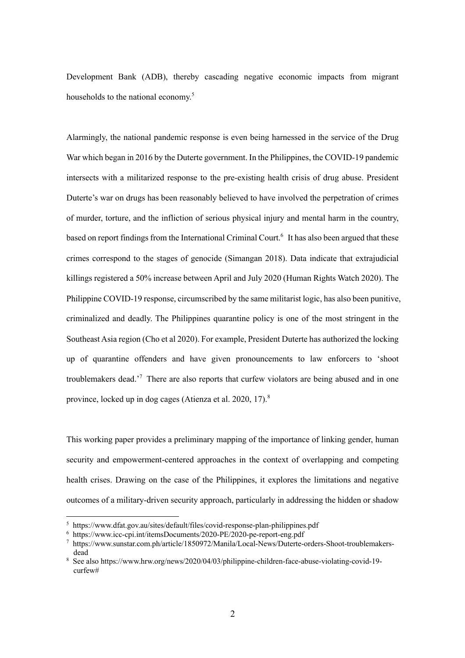Development Bank (ADB), thereby cascading negative economic impacts from migrant households to the national economy.<sup>5</sup>

Alarmingly, the national pandemic response is even being harnessed in the service of the Drug War which began in 2016 by the Duterte government. In the Philippines, the COVID-19 pandemic intersects with a militarized response to the pre-existing health crisis of drug abuse. President Duterte's war on drugs has been reasonably believed to have involved the perpetration of crimes of murder, torture, and the infliction of serious physical injury and mental harm in the country, based on report findings from the International Criminal Court.<sup>6</sup> It has also been argued that these crimes correspond to the stages of genocide (Simangan 2018). Data indicate that extrajudicial killings registered a 50% increase between April and July 2020 (Human Rights Watch 2020). The Philippine COVID-19 response, circumscribed by the same militarist logic, has also been punitive, criminalized and deadly. The Philippines quarantine policy is one of the most stringent in the Southeast Asia region (Cho et al 2020). For example, President Duterte has authorized the locking up of quarantine offenders and have given pronouncements to law enforcers to 'shoot troublemakers dead.<sup>'7</sup> There are also reports that curfew violators are being abused and in one province, locked up in dog cages (Atienza et al. 2020, 17).<sup>8</sup>

This working paper provides a preliminary mapping of the importance of linking gender, human security and empowerment-centered approaches in the context of overlapping and competing health crises. Drawing on the case of the Philippines, it explores the limitations and negative outcomes of a military-driven security approach, particularly in addressing the hidden or shadow

<sup>5</sup> https://www.dfat.gov.au/sites/default/files/covid-response-plan-philippines.pdf

<sup>6</sup> https://www.icc-cpi.int/itemsDocuments/2020-PE/2020-pe-report-eng.pdf

<sup>7</sup> https://www.sunstar.com.ph/article/1850972/Manila/Local-News/Duterte-orders-Shoot-troublemakersdead

<sup>8</sup> See also https://www.hrw.org/news/2020/04/03/philippine-children-face-abuse-violating-covid-19 curfew#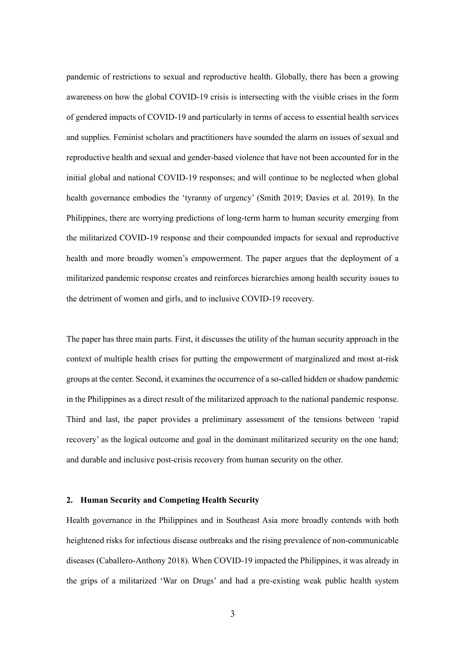pandemic of restrictions to sexual and reproductive health. Globally, there has been a growing awareness on how the global COVID-19 crisis is intersecting with the visible crises in the form of gendered impacts of COVID-19 and particularly in terms of access to essential health services and supplies. Feminist scholars and practitioners have sounded the alarm on issues of sexual and reproductive health and sexual and gender-based violence that have not been accounted for in the initial global and national COVID-19 responses; and will continue to be neglected when global health governance embodies the 'tyranny of urgency' (Smith 2019; Davies et al. 2019). In the Philippines, there are worrying predictions of long-term harm to human security emerging from the militarized COVID-19 response and their compounded impacts for sexual and reproductive health and more broadly women's empowerment. The paper argues that the deployment of a militarized pandemic response creates and reinforces hierarchies among health security issues to the detriment of women and girls, and to inclusive COVID-19 recovery.

The paper has three main parts. First, it discusses the utility of the human security approach in the context of multiple health crises for putting the empowerment of marginalized and most at-risk groups at the center. Second, it examines the occurrence of a so-called hidden or shadow pandemic in the Philippines as a direct result of the militarized approach to the national pandemic response. Third and last, the paper provides a preliminary assessment of the tensions between 'rapid recovery' as the logical outcome and goal in the dominant militarized security on the one hand; and durable and inclusive post-crisis recovery from human security on the other.

# **2. Human Security and Competing Health Security**

Health governance in the Philippines and in Southeast Asia more broadly contends with both heightened risks for infectious disease outbreaks and the rising prevalence of non-communicable diseases (Caballero-Anthony 2018). When COVID-19 impacted the Philippines, it was already in the grips of a militarized 'War on Drugs' and had a pre-existing weak public health system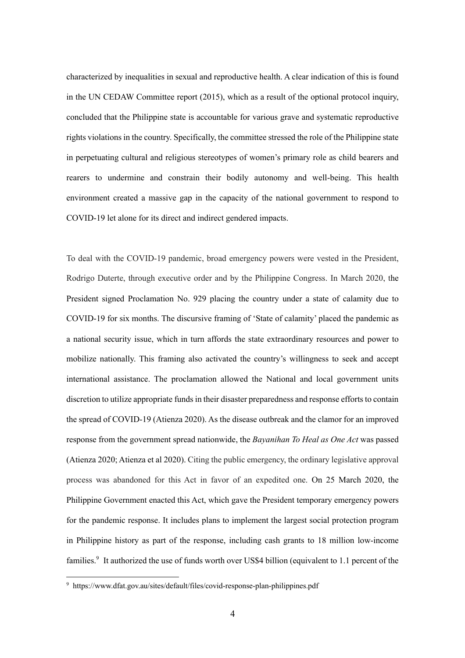characterized by inequalities in sexual and reproductive health. A clear indication of this is found in the UN CEDAW Committee report (2015), which as a result of the optional protocol inquiry, concluded that the Philippine state is accountable for various grave and systematic reproductive rights violations in the country. Specifically, the committee stressed the role of the Philippine state in perpetuating cultural and religious stereotypes of women's primary role as child bearers and rearers to undermine and constrain their bodily autonomy and well-being. This health environment created a massive gap in the capacity of the national government to respond to COVID-19 let alone for its direct and indirect gendered impacts.

To deal with the COVID-19 pandemic, broad emergency powers were vested in the President, Rodrigo Duterte, through executive order and by the Philippine Congress. In March 2020, the President signed Proclamation No. 929 placing the country under a state of calamity due to COVID-19 for six months. The discursive framing of 'State of calamity' placed the pandemic as a national security issue, which in turn affords the state extraordinary resources and power to mobilize nationally. This framing also activated the country's willingness to seek and accept international assistance. The proclamation allowed the National and local government units discretion to utilize appropriate funds in their disaster preparedness and response efforts to contain the spread of COVID-19 (Atienza 2020). As the disease outbreak and the clamor for an improved response from the government spread nationwide, the *Bayanihan To Heal as One Act* was passed (Atienza 2020; Atienza et al 2020). Citing the public emergency, the ordinary legislative approval process was abandoned for this Act in favor of an expedited one. On 25 March 2020, the Philippine Government enacted this Act, which gave the President temporary emergency powers for the pandemic response. It includes plans to implement the largest social protection program in Philippine history as part of the response, including cash grants to 18 million low-income families.<sup>9</sup> It authorized the use of funds worth over US\$4 billion (equivalent to 1.1 percent of the

<sup>9</sup> https://www.dfat.gov.au/sites/default/files/covid-response-plan-philippines.pdf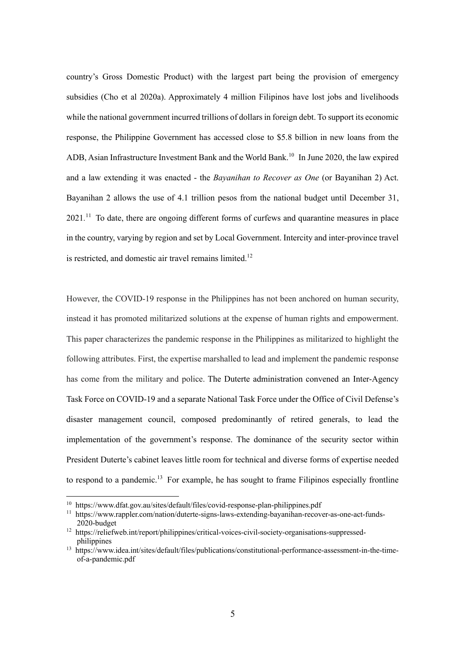country's Gross Domestic Product) with the largest part being the provision of emergency subsidies (Cho et al 2020a). Approximately 4 million Filipinos have lost jobs and livelihoods while the national government incurred trillions of dollars in foreign debt. To support its economic response, the Philippine Government has accessed close to \$5.8 billion in new loans from the ADB, Asian Infrastructure Investment Bank and the World Bank.<sup>10</sup> In June 2020, the law expired and a law extending it was enacted - the *Bayanihan to Recover as One* (or Bayanihan 2) Act. Bayanihan 2 allows the use of 4.1 trillion pesos from the national budget until December 31, 2021.<sup>11</sup> To date, there are ongoing different forms of curfews and quarantine measures in place in the country, varying by region and set by Local Government. Intercity and inter-province travel is restricted, and domestic air travel remains limited.<sup>12</sup>

However, the COVID-19 response in the Philippines has not been anchored on human security, instead it has promoted militarized solutions at the expense of human rights and empowerment. This paper characterizes the pandemic response in the Philippines as militarized to highlight the following attributes. First, the expertise marshalled to lead and implement the pandemic response has come from the military and police. The Duterte administration convened an Inter-Agency Task Force on COVID-19 and a separate National Task Force under the Office of Civil Defense's disaster management council, composed predominantly of retired generals, to lead the implementation of the government's response. The dominance of the security sector within President Duterte's cabinet leaves little room for technical and diverse forms of expertise needed to respond to a pandemic.<sup>13</sup> For example, he has sought to frame Filipinos especially frontline

<sup>10</sup> https://www.dfat.gov.au/sites/default/files/covid-response-plan-philippines.pdf

<sup>11</sup> https://www.rappler.com/nation/duterte-signs-laws-extending-bayanihan-recover-as-one-act-funds-2020-budget

<sup>&</sup>lt;sup>12</sup> https://reliefweb.int/report/philippines/critical-voices-civil-society-organisations-suppressedphilippines

<sup>13</sup> https://www.idea.int/sites/default/files/publications/constitutional-performance-assessment-in-the-timeof-a-pandemic.pdf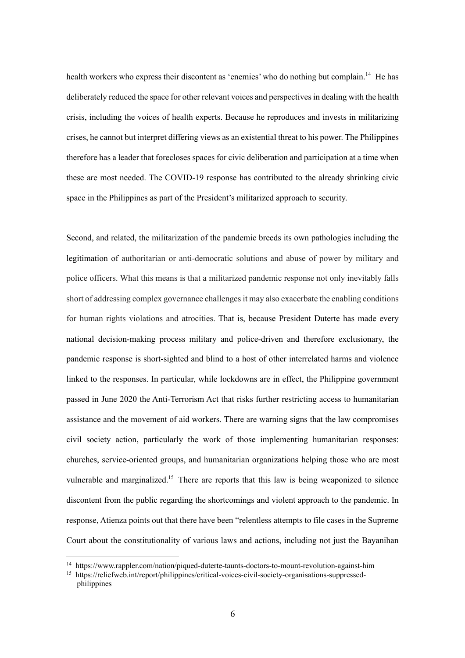health workers who express their discontent as 'enemies' who do nothing but complain.<sup>14</sup> He has deliberately reduced the space for other relevant voices and perspectives in dealing with the health crisis, including the voices of health experts. Because he reproduces and invests in militarizing crises, he cannot but interpret differing views as an existential threat to his power. The Philippines therefore has a leader that forecloses spaces for civic deliberation and participation at a time when these are most needed. The COVID-19 response has contributed to the already shrinking civic space in the Philippines as part of the President's militarized approach to security.

Second, and related, the militarization of the pandemic breeds its own pathologies including the legitimation of authoritarian or anti-democratic solutions and abuse of power by military and police officers. What this means is that a militarized pandemic response not only inevitably falls short of addressing complex governance challenges it may also exacerbate the enabling conditions for human rights violations and atrocities. That is, because President Duterte has made every national decision-making process military and police-driven and therefore exclusionary, the pandemic response is short-sighted and blind to a host of other interrelated harms and violence linked to the responses. In particular, while lockdowns are in effect, the Philippine government passed in June 2020 the Anti-Terrorism Act that risks further restricting access to humanitarian assistance and the movement of aid workers. There are warning signs that the law compromises civil society action, particularly the work of those implementing humanitarian responses: churches, service-oriented groups, and humanitarian organizations helping those who are most vulnerable and marginalized.<sup>15</sup> There are reports that this law is being weaponized to silence discontent from the public regarding the shortcomings and violent approach to the pandemic. In response, Atienza points out that there have been "relentless attempts to file cases in the Supreme Court about the constitutionality of various laws and actions, including not just the Bayanihan

<sup>14</sup> https://www.rappler.com/nation/piqued-duterte-taunts-doctors-to-mount-revolution-against-him

<sup>&</sup>lt;sup>15</sup> https://reliefweb.int/report/philippines/critical-voices-civil-society-organisations-suppressedphilippines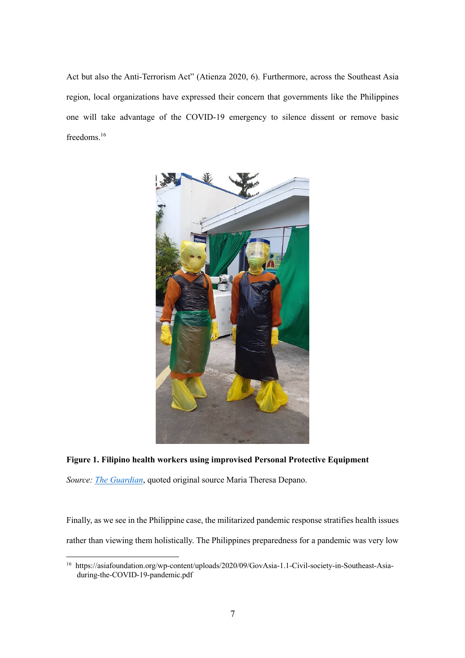Act but also the Anti-Terrorism Act" (Atienza 2020, 6). Furthermore, across the Southeast Asia region, local organizations have expressed their concern that governments like the Philippines one will take advantage of the COVID-19 emergency to silence dissent or remove basic freedoms.<sup>16</sup>



# **Figure 1. Filipino health workers using improvised Personal Protective Equipment**

*Source: The Guardian*, quoted original source Maria Theresa Depano.

Finally, as we see in the Philippine case, the militarized pandemic response stratifies health issues rather than viewing them holistically. The Philippines preparedness for a pandemic was very low

<sup>16</sup> https://asiafoundation.org/wp-content/uploads/2020/09/GovAsia-1.1-Civil-society-in-Southeast-Asiaduring-the-COVID-19-pandemic.pdf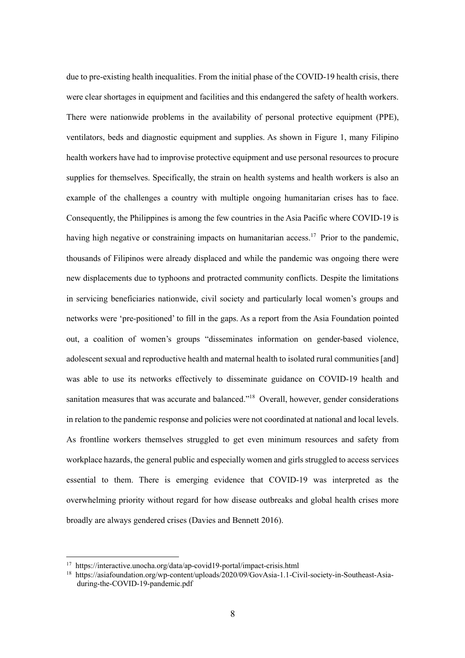due to pre-existing health inequalities. From the initial phase of the COVID-19 health crisis, there were clear shortages in equipment and facilities and this endangered the safety of health workers. There were nationwide problems in the availability of personal protective equipment (PPE), ventilators, beds and diagnostic equipment and supplies. As shown in Figure 1, many Filipino health workers have had to improvise protective equipment and use personal resources to procure supplies for themselves. Specifically, the strain on health systems and health workers is also an example of the challenges a country with multiple ongoing humanitarian crises has to face. Consequently, the Philippines is among the few countries in the Asia Pacific where COVID-19 is having high negative or constraining impacts on humanitarian access.<sup>17</sup> Prior to the pandemic, thousands of Filipinos were already displaced and while the pandemic was ongoing there were new displacements due to typhoons and protracted community conflicts. Despite the limitations in servicing beneficiaries nationwide, civil society and particularly local women's groups and networks were 'pre-positioned' to fill in the gaps. As a report from the Asia Foundation pointed out, a coalition of women's groups "disseminates information on gender-based violence, adolescent sexual and reproductive health and maternal health to isolated rural communities [and] was able to use its networks effectively to disseminate guidance on COVID-19 health and sanitation measures that was accurate and balanced."<sup>18</sup> Overall, however, gender considerations in relation to the pandemic response and policies were not coordinated at national and local levels. As frontline workers themselves struggled to get even minimum resources and safety from workplace hazards, the general public and especially women and girls struggled to access services essential to them. There is emerging evidence that COVID-19 was interpreted as the overwhelming priority without regard for how disease outbreaks and global health crises more broadly are always gendered crises (Davies and Bennett 2016).

<sup>17</sup> https://interactive.unocha.org/data/ap-covid19-portal/impact-crisis.html

<sup>18</sup> https://asiafoundation.org/wp-content/uploads/2020/09/GovAsia-1.1-Civil-society-in-Southeast-Asiaduring-the-COVID-19-pandemic.pdf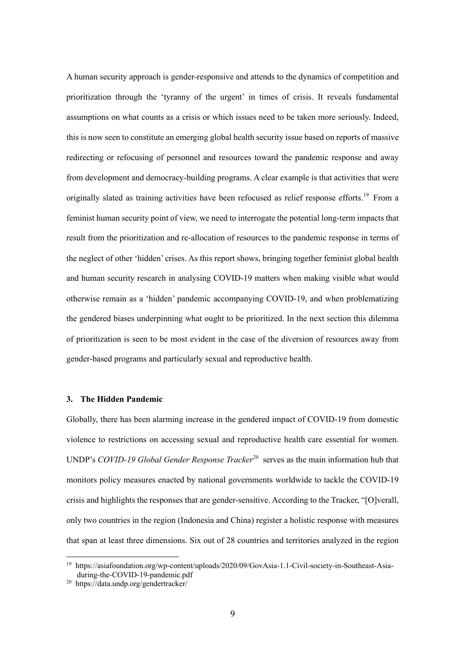A human security approach is gender-responsive and attends to the dynamics of competition and prioritization through the 'tyranny of the urgent' in times of crisis. It reveals fundamental assumptions on what counts as a crisis or which issues need to be taken more seriously. Indeed, this is now seen to constitute an emerging global health security issue based on reports of massive redirecting or refocusing of personnel and resources toward the pandemic response and away from development and democracy-building programs. A clear example is that activities that were originally slated as training activities have been refocused as relief response efforts.<sup>19</sup> From a feminist human security point of view, we need to interrogate the potential long-term impacts that result from the prioritization and re-allocation of resources to the pandemic response in terms of the neglect of other 'hidden' crises. As this report shows, bringing together feminist global health and human security research in analysing COVID-19 matters when making visible what would otherwise remain as a 'hidden' pandemic accompanying COVID-19, and when problematizing the gendered biases underpinning what ought to be prioritized. In the next section this dilemma of prioritization is seen to be most evident in the case of the diversion of resources away from gender-based programs and particularly sexual and reproductive health.

# **3. The Hidden Pandemic**

Globally, there has been alarming increase in the gendered impact of COVID-19 from domestic violence to restrictions on accessing sexual and reproductive health care essential for women. UNDP's *COVID-19 Global Gender Response Tracker*<sup>20</sup> serves as the main information hub that monitors policy measures enacted by national governments worldwide to tackle the COVID-19 crisis and highlights the responses that are gender-sensitive. According to the Tracker, "[O]verall, only two countries in the region (Indonesia and China) register a holistic response with measures that span at least three dimensions. Six out of 28 countries and territories analyzed in the region

<sup>19</sup> https://asiafoundation.org/wp-content/uploads/2020/09/GovAsia-1.1-Civil-society-in-Southeast-Asiaduring-the-COVID-19-pandemic.pdf

<sup>20</sup> https://data.undp.org/gendertracker/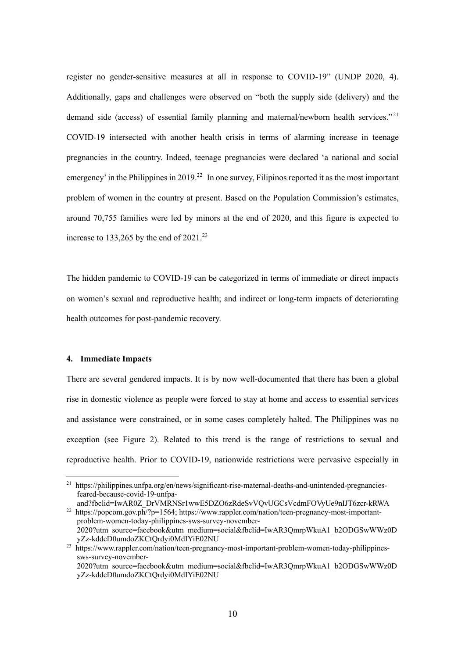register no gender-sensitive measures at all in response to COVID-19" (UNDP 2020, 4). Additionally, gaps and challenges were observed on "both the supply side (delivery) and the demand side (access) of essential family planning and maternal/newborn health services."<sup>21</sup> COVID-19 intersected with another health crisis in terms of alarming increase in teenage pregnancies in the country. Indeed, teenage pregnancies were declared 'a national and social emergency' in the Philippines in 2019.<sup>22</sup> In one survey, Filipinos reported it as the most important problem of women in the country at present. Based on the Population Commission's estimates, around 70,755 families were led by minors at the end of 2020, and this figure is expected to increase to 133,265 by the end of  $2021$ .<sup>23</sup>

The hidden pandemic to COVID-19 can be categorized in terms of immediate or direct impacts on women's sexual and reproductive health; and indirect or long-term impacts of deteriorating health outcomes for post-pandemic recovery.

# **4. Immediate Impacts**

There are several gendered impacts. It is by now well-documented that there has been a global rise in domestic violence as people were forced to stay at home and access to essential services and assistance were constrained, or in some cases completely halted. The Philippines was no exception (see Figure 2). Related to this trend is the range of restrictions to sexual and reproductive health. Prior to COVID-19, nationwide restrictions were pervasive especially in

<sup>&</sup>lt;sup>21</sup> https://philippines.unfpa.org/en/news/significant-rise-maternal-deaths-and-unintended-pregnanciesfeared-because-covid-19-unfpaand?fbclid=IwAR0Z\_DrVMRNSr1wwE5DZO6zRdeSvVQvUGCsVcdmFOVyUe9nIJT6zcr-kRWA

<sup>&</sup>lt;sup>22</sup> https://popcom.gov.ph/?p=1564; https://www.rappler.com/nation/teen-pregnancy-most-importantproblem-women-today-philippines-sws-survey-november-2020?utm\_source=facebook&utm\_medium=social&fbclid=IwAR3QmrpWkuA1\_b2ODGSwWWz0D yZz-kddcD0umdoZKCtQrdyi0MdIYiE02NU

<sup>23</sup> https://www.rappler.com/nation/teen-pregnancy-most-important-problem-women-today-philippinessws-survey-november-

<sup>2020?</sup>utm\_source=facebook&utm\_medium=social&fbclid=IwAR3QmrpWkuA1\_b2ODGSwWWz0D yZz-kddcD0umdoZKCtQrdyi0MdIYiE02NU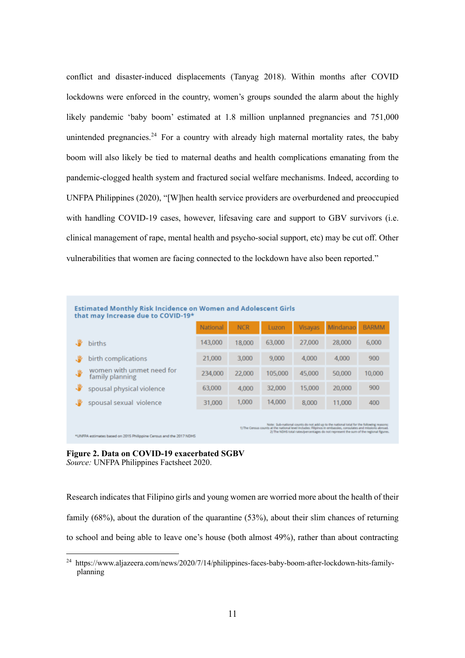conflict and disaster-induced displacements (Tanyag 2018). Within months after COVID lockdowns were enforced in the country, women's groups sounded the alarm about the highly likely pandemic 'baby boom' estimated at 1.8 million unplanned pregnancies and 751,000 unintended pregnancies.<sup>24</sup> For a country with already high maternal mortality rates, the baby boom will also likely be tied to maternal deaths and health complications emanating from the pandemic-clogged health system and fractured social welfare mechanisms. Indeed, according to UNFPA Philippines (2020), "[W]hen health service providers are overburdened and preoccupied with handling COVID-19 cases, however, lifesaving care and support to GBV survivors (i.e. clinical management of rape, mental health and psycho-social support, etc) may be cut off. Other vulnerabilities that women are facing connected to the lockdown have also been reported."

| <b>Estimated Monthly Risk Incidence on Women and Adolescent Girls</b><br>that may Increase due to COVID-19*                                                                                                                                                                                       |                                              |          |            |         |                |          |              |
|---------------------------------------------------------------------------------------------------------------------------------------------------------------------------------------------------------------------------------------------------------------------------------------------------|----------------------------------------------|----------|------------|---------|----------------|----------|--------------|
|                                                                                                                                                                                                                                                                                                   |                                              | National | <b>NCR</b> | Luzon   | <b>Visayas</b> | Mindanao | <b>BARMM</b> |
|                                                                                                                                                                                                                                                                                                   | births                                       | 143,000  | 18,000     | 63,000  | 27,000         | 28,000   | 6,000        |
|                                                                                                                                                                                                                                                                                                   | birth complications                          | 21,000   | 3.000      | 9,000   | 4.000          | 4.000    | 900          |
| J.                                                                                                                                                                                                                                                                                                | women with unmet need for<br>family planning | 234,000  | 22,000     | 105,000 | 45,000         | 50,000   | 10,000       |
| ÷                                                                                                                                                                                                                                                                                                 | spousal physical violence                    | 63,000   | 4.000      | 32,000  | 15,000         | 20,000   | 900          |
|                                                                                                                                                                                                                                                                                                   | spousal sexual violence                      | 31,000   | 1,000      | 14,000  | 8,000          | 11,000   | 400          |
| Note: Sub-national counts do not add up to the national total for the following reasons:<br>1) The Census counts at the national level includes: Filipinos in embassies, consulates and missions abroad.<br>2) The NDHS total rates/percentages do not represent the sum of the regional figures. |                                              |          |            |         |                |          |              |

**Figure 2. Data on COVID-19 exacerbated SGBV** *Source:* UNFPA Philippines Factsheet 2020.

Research indicates that Filipino girls and young women are worried more about the health of their family (68%), about the duration of the quarantine (53%), about their slim chances of returning to school and being able to leave one's house (both almost 49%), rather than about contracting

<sup>&</sup>lt;sup>24</sup> https://www.aljazeera.com/news/2020/7/14/philippines-faces-baby-boom-after-lockdown-hits-familyplanning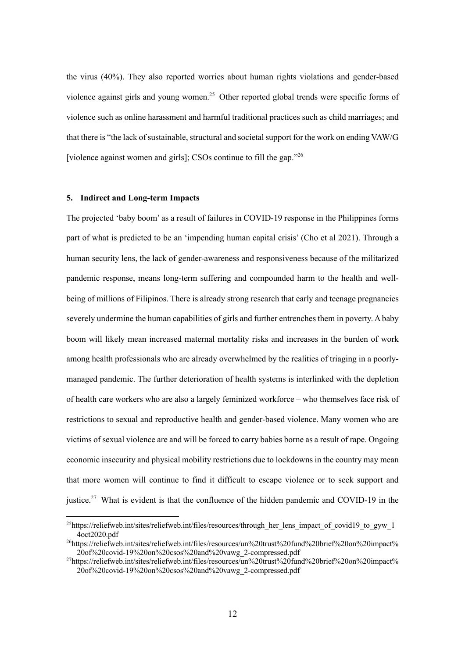the virus (40%). They also reported worries about human rights violations and gender-based violence against girls and young women.<sup>25</sup> Other reported global trends were specific forms of violence such as online harassment and harmful traditional practices such as child marriages; and that there is "the lack of sustainable, structural and societal support for the work on ending VAW/G [violence against women and girls]; CSOs continue to fill the gap."<sup>26</sup>

# **5. Indirect and Long-term Impacts**

The projected 'baby boom' as a result of failures in COVID-19 response in the Philippines forms part of what is predicted to be an 'impending human capital crisis' (Cho et al 2021). Through a human security lens, the lack of gender-awareness and responsiveness because of the militarized pandemic response, means long-term suffering and compounded harm to the health and wellbeing of millions of Filipinos. There is already strong research that early and teenage pregnancies severely undermine the human capabilities of girls and further entrenches them in poverty. A baby boom will likely mean increased maternal mortality risks and increases in the burden of work among health professionals who are already overwhelmed by the realities of triaging in a poorlymanaged pandemic. The further deterioration of health systems is interlinked with the depletion of health care workers who are also a largely feminized workforce – who themselves face risk of restrictions to sexual and reproductive health and gender-based violence. Many women who are victims of sexual violence are and will be forced to carry babies borne as a result of rape. Ongoing economic insecurity and physical mobility restrictions due to lockdowns in the country may mean that more women will continue to find it difficult to escape violence or to seek support and justice.<sup>27</sup> What is evident is that the confluence of the hidden pandemic and COVID-19 in the

 $^{25}$ https://reliefweb.int/sites/reliefweb.int/files/resources/through her lens impact of covid19 to gyw\_1 4oct2020.pdf

<sup>26</sup>https://reliefweb.int/sites/reliefweb.int/files/resources/un%20trust%20fund%20brief%20on%20impact% 20of%20covid-19%20on%20csos%20and%20vawg\_2-compressed.pdf

<sup>27</sup>https://reliefweb.int/sites/reliefweb.int/files/resources/un%20trust%20fund%20brief%20on%20impact% 20of%20covid-19%20on%20csos%20and%20vawg\_2-compressed.pdf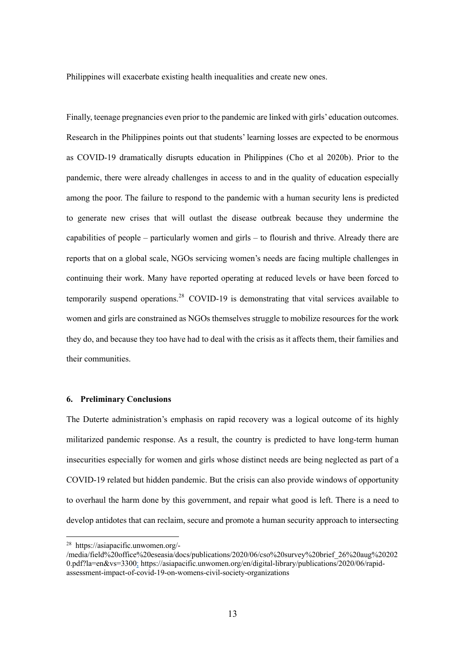Philippines will exacerbate existing health inequalities and create new ones.

Finally, teenage pregnancies even prior to the pandemic are linked with girls' education outcomes. Research in the Philippines points out that students' learning losses are expected to be enormous as COVID-19 dramatically disrupts education in Philippines (Cho et al 2020b). Prior to the pandemic, there were already challenges in access to and in the quality of education especially among the poor. The failure to respond to the pandemic with a human security lens is predicted to generate new crises that will outlast the disease outbreak because they undermine the capabilities of people – particularly women and girls – to flourish and thrive. Already there are reports that on a global scale, NGOs servicing women's needs are facing multiple challenges in continuing their work. Many have reported operating at reduced levels or have been forced to temporarily suspend operations.<sup>28</sup> COVID-19 is demonstrating that vital services available to women and girls are constrained as NGOs themselves struggle to mobilize resources for the work they do, and because they too have had to deal with the crisis as it affects them, their families and their communities.

# **6. Preliminary Conclusions**

The Duterte administration's emphasis on rapid recovery was a logical outcome of its highly militarized pandemic response. As a result, the country is predicted to have long-term human insecurities especially for women and girls whose distinct needs are being neglected as part of a COVID-19 related but hidden pandemic. But the crisis can also provide windows of opportunity to overhaul the harm done by this government, and repair what good is left. There is a need to develop antidotes that can reclaim, secure and promote a human security approach to intersecting

<sup>28</sup> https://asiapacific.unwomen.org/-

<sup>/</sup>media/field%20office%20eseasia/docs/publications/2020/06/cso%20survey%20brief\_26%20aug%20202 0.pdf?la=en&vs=3300; https://asiapacific.unwomen.org/en/digital-library/publications/2020/06/rapidassessment-impact-of-covid-19-on-womens-civil-society-organizations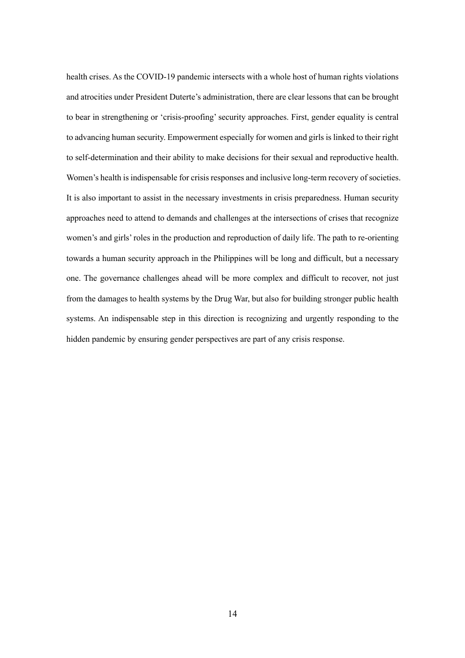health crises. As the COVID-19 pandemic intersects with a whole host of human rights violations and atrocities under President Duterte's administration, there are clear lessons that can be brought to bear in strengthening or 'crisis-proofing' security approaches. First, gender equality is central to advancing human security. Empowerment especially for women and girls is linked to their right to self-determination and their ability to make decisions for their sexual and reproductive health. Women's health is indispensable for crisis responses and inclusive long-term recovery of societies. It is also important to assist in the necessary investments in crisis preparedness. Human security approaches need to attend to demands and challenges at the intersections of crises that recognize women's and girls' roles in the production and reproduction of daily life. The path to re-orienting towards a human security approach in the Philippines will be long and difficult, but a necessary one. The governance challenges ahead will be more complex and difficult to recover, not just from the damages to health systems by the Drug War, but also for building stronger public health systems. An indispensable step in this direction is recognizing and urgently responding to the hidden pandemic by ensuring gender perspectives are part of any crisis response.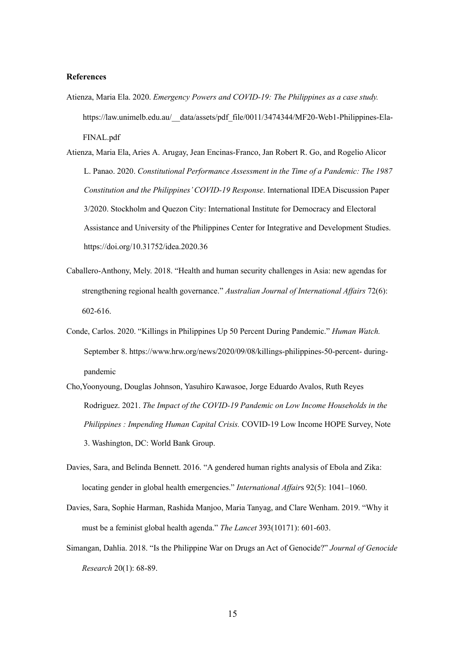#### **References**

Atienza, Maria Ela. 2020. *Emergency Powers and COVID-19: The Philippines as a case study.*  https://law.unimelb.edu.au/\_\_data/assets/pdf\_file/0011/3474344/MF20-Web1-Philippines-Ela-FINAL.pdf

Atienza, Maria Ela, Aries A. Arugay, Jean Encinas-Franco, Jan Robert R. Go, and Rogelio Alicor L. Panao. 2020. *Constitutional Performance Assessment in the Time of a Pandemic: The 1987 Constitution and the Philippines' COVID-19 Response*. International IDEA Discussion Paper 3/2020. Stockholm and Quezon City: International Institute for Democracy and Electoral Assistance and University of the Philippines Center for Integrative and Development Studies. https://doi.org/10.31752/idea.2020.36

- Caballero-Anthony, Mely. 2018. "Health and human security challenges in Asia: new agendas for strengthening regional health governance." *Australian Journal of International Affairs* 72(6): 602-616.
- Conde, Carlos. 2020. "Killings in Philippines Up 50 Percent During Pandemic." *Human Watch.*  September 8. https://www.hrw.org/news/2020/09/08/killings-philippines-50-percent- duringpandemic
- Cho,Yoonyoung, Douglas Johnson, Yasuhiro Kawasoe, Jorge Eduardo Avalos, Ruth Reyes Rodriguez. 2021. *The Impact of the COVID-19 Pandemic on Low Income Households in the Philippines : Impending Human Capital Crisis.* COVID-19 Low Income HOPE Survey, Note 3. Washington, DC: World Bank Group.
- Davies, Sara, and Belinda Bennett. 2016. "A gendered human rights analysis of Ebola and Zika: locating gender in global health emergencies." *International Affair*s 92(5): 1041–1060.
- Davies, Sara, Sophie Harman, Rashida Manjoo, Maria Tanyag, and Clare Wenham. 2019. "Why it must be a feminist global health agenda." *The Lancet* 393(10171): 601-603.
- Simangan, Dahlia. 2018. "Is the Philippine War on Drugs an Act of Genocide?" *Journal of Genocide Research* 20(1): 68-89.